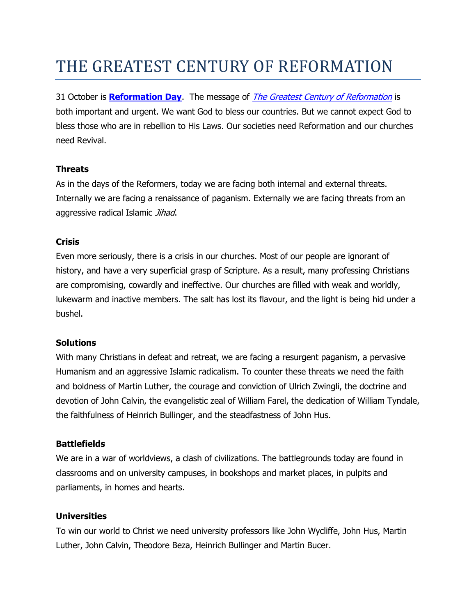# THE GREATEST CENTURY OF REFORMATION

31 October is **[Reformation Day](http://www.reformationsa.org/events.htm#3)**. The message of [The Greatest Century of Reformation](http://frontlinefellowship.net/inc/sdetail/335) is both important and urgent. We want God to bless our countries. But we cannot expect God to bless those who are in rebellion to His Laws. Our societies need Reformation and our churches need Revival.

# **Threats**

As in the days of the Reformers, today we are facing both internal and external threats. Internally we are facing a renaissance of paganism. Externally we are facing threats from an aggressive radical Islamic Jihad.

## **Crisis**

Even more seriously, there is a crisis in our churches. Most of our people are ignorant of history, and have a very superficial grasp of Scripture. As a result, many professing Christians are compromising, cowardly and ineffective. Our churches are filled with weak and worldly, lukewarm and inactive members. The salt has lost its flavour, and the light is being hid under a bushel.

#### **Solutions**

With many Christians in defeat and retreat, we are facing a resurgent paganism, a pervasive Humanism and an aggressive Islamic radicalism. To counter these threats we need the faith and boldness of Martin Luther, the courage and conviction of Ulrich Zwingli, the doctrine and devotion of John Calvin, the evangelistic zeal of William Farel, the dedication of William Tyndale, the faithfulness of Heinrich Bullinger, and the steadfastness of John Hus.

# **Battlefields**

We are in a war of worldviews, a clash of civilizations. The battlegrounds today are found in classrooms and on university campuses, in bookshops and market places, in pulpits and parliaments, in homes and hearts.

# **Universities**

To win our world to Christ we need university professors like John Wycliffe, John Hus, Martin Luther, John Calvin, Theodore Beza, Heinrich Bullinger and Martin Bucer.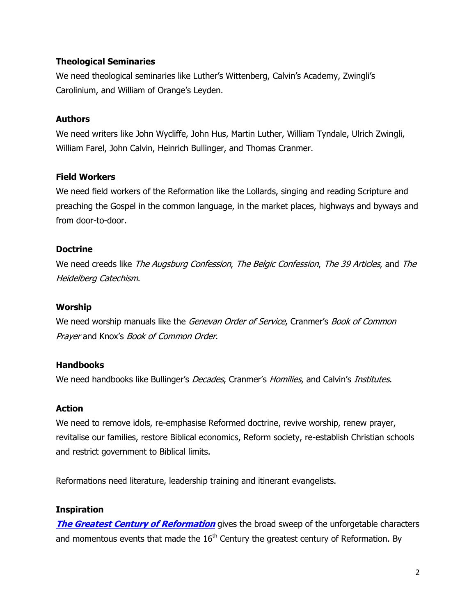## **Theological Seminaries**

We need theological seminaries like Luther's Wittenberg, Calvin's Academy, Zwingli's Carolinium, and William of Orange's Leyden.

## **Authors**

We need writers like John Wycliffe, John Hus, Martin Luther, William Tyndale, Ulrich Zwingli, William Farel, John Calvin, Heinrich Bullinger, and Thomas Cranmer.

## **Field Workers**

We need field workers of the Reformation like the Lollards, singing and reading Scripture and preaching the Gospel in the common language, in the market places, highways and byways and from door-to-door.

## **Doctrine**

We need creeds like *The Augsburg Confession, The Belgic Confession, The 39 Articles,* and *The* Heidelberg Catechism.

#### **Worship**

We need worship manuals like the Genevan Order of Service, Cranmer's Book of Common Prayer and Knox's Book of Common Order.

#### **Handbooks**

We need handbooks like Bullinger's *Decades*, Cranmer's *Homilies*, and Calvin's *Institutes*.

# **Action**

We need to remove idols, re-emphasise Reformed doctrine, revive worship, renew prayer, revitalise our families, restore Biblical economics, Reform society, re-establish Christian schools and restrict government to Biblical limits.

Reformations need literature, leadership training and itinerant evangelists.

#### **Inspiration**

**[The Greatest Century of Reformation](http://frontlinefellowship.net/inc/sdetail/335)** gives the broad sweep of the unforgetable characters and momentous events that made the  $16<sup>th</sup>$  Century the greatest century of Reformation. By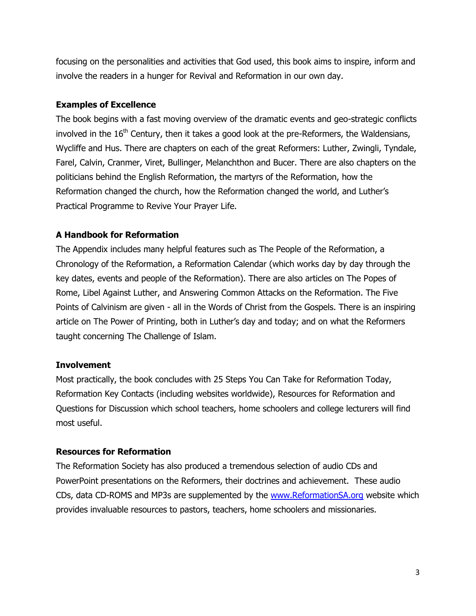focusing on the personalities and activities that God used, this book aims to inspire, inform and involve the readers in a hunger for Revival and Reformation in our own day.

## **Examples of Excellence**

The book begins with a fast moving overview of the dramatic events and geo-strategic conflicts involved in the  $16<sup>th</sup>$  Century, then it takes a good look at the pre-Reformers, the Waldensians, Wycliffe and Hus. There are chapters on each of the great Reformers: Luther, Zwingli, Tyndale, Farel, Calvin, Cranmer, Viret, Bullinger, Melanchthon and Bucer. There are also chapters on the politicians behind the English Reformation, the martyrs of the Reformation, how the Reformation changed the church, how the Reformation changed the world, and Luther's Practical Programme to Revive Your Prayer Life.

# **A Handbook for Reformation**

The Appendix includes many helpful features such as The People of the Reformation, a Chronology of the Reformation, a Reformation Calendar (which works day by day through the key dates, events and people of the Reformation). There are also articles on The Popes of Rome, Libel Against Luther, and Answering Common Attacks on the Reformation. The Five Points of Calvinism are given - all in the Words of Christ from the Gospels. There is an inspiring article on The Power of Printing, both in Luther's day and today; and on what the Reformers taught concerning The Challenge of Islam.

#### **Involvement**

Most practically, the book concludes with 25 Steps You Can Take for Reformation Today, Reformation Key Contacts (including websites worldwide), Resources for Reformation and Questions for Discussion which school teachers, home schoolers and college lecturers will find most useful.

# **Resources for Reformation**

The Reformation Society has also produced a tremendous selection of audio CDs and PowerPoint presentations on the Reformers, their doctrines and achievement. These audio CDs, data CD-ROMS and MP3s are supplemented by the [www.ReformationSA.org](http://www.reformationsa.org/) website which provides invaluable resources to pastors, teachers, home schoolers and missionaries.